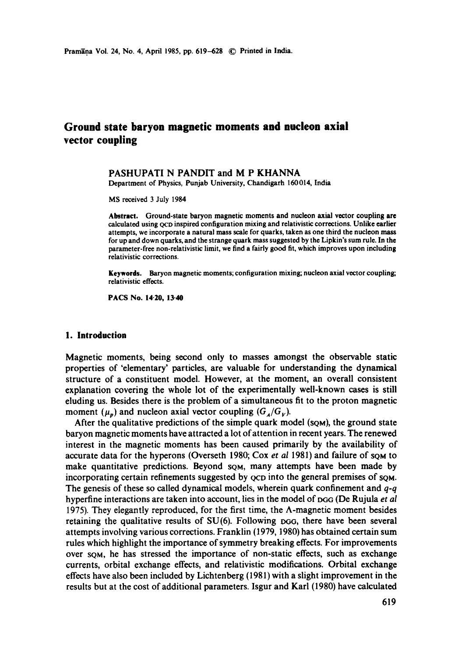# **Ground state baryon magnetic moments and nucleon axial vector coupling**

## PASHUPATI N PANDIT and M P KHANNA

Department of Physics, Punjab University, Chandigarh 160014, India

MS received 3 July I984

**Abstract.** Ground-state baryon magnetic moments and nucleon axial vector coupling **are**  calculated using QCD inspired configuration mixing and relativistic corrections. Unlike earlier attempts, we incorporate a natural mass scale for quarks, taken as one **third the** nucleon mass for up and down quarks, and the strange quark mass suggested by the Lipkin's sum rule. In **the**  parameter-free non-relativistic limit, we find a fairly good fit, which improves upon including relativistic corrections.

**Keywords.** Baryon magnetic moments; configuration mixing; nucleon axial vector coupling; relativistic effects.

**PACS No. 14.20, 13-40** 

#### **1. Introduction**

Magnetic moments, being second only to masses amongst the observable static properties of 'elementary' particles, are valuable for understanding the dynamical structure of a constituent model. However, at the moment, an overall consistent explanation covering the whole lot of the experimentally well-known cases is still eluding us. Besides there is the problem of a simultaneous fit to the proton magnetic moment  $(\mu_p)$  and nucleon axial vector coupling  $(G_A/G_{\nu})$ .

After the qualitative predictions of the simple quark model ( $SOM$ ), the ground state baryon magnetic moments have attracted a lot of attention in recent years. The renewed interest in the magnetic moments has been caused primarily by the availability of accurate data for the hyperons (Overseth 1980; Cox *et al* 1981) and failure of SQM to make quantitative predictions. Beyond SQM, many attempts have been made by incorporating certain refinements suggested by QcD into the general premises of SQM. The genesis of these so called dynamical models, wherein quark confinement and *q-q*  hyperfine interactions are taken into account, lies in the model of poo (De Rujula *et al* 1975). They elegantly reproduced, for the first time, the  $\Lambda$ -magnetic moment besides retaining the qualitative results of  $SU(6)$ . Following  $DGG$ , there have been several attempts involving various corrections. Franklin (1979, 1980) has obtained certain sum rules which highlight the importance of symmetry breaking effects. For improvements over som, he has stressed the importance of non-static effects, such as exchange currents, orbital exchange effects, and relativistic modifications. Orbital exchange effects have also been included by Lichtenberg (1981) with a slight improvement in the results but at the cost of additional parameters. Isgur and Karl (1980) have calculated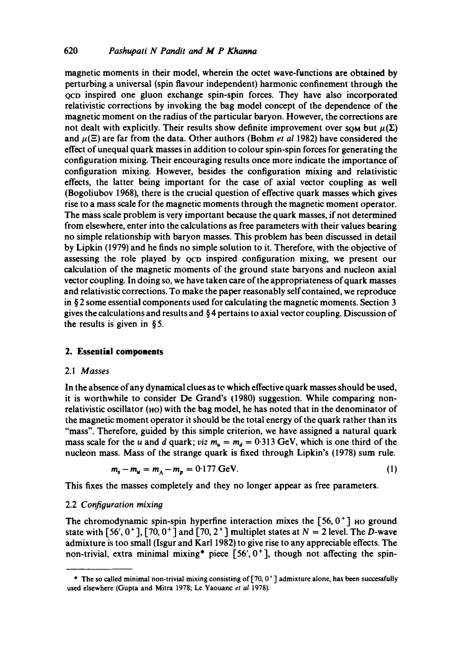magnetic moments in their model, wherein the octet wave-functions are obtained by perturbing a universal (spin flavour independent) harmonic confinement through the QcD inspired one gluon exchange spin-spin forces. They have also incorporated relativistic corrections by invoking the bag model concept of the dependence of the magnetic moment on the radius of the particular baryon. However, the corrections are not dealt with explicitly. Their results show definite improvement over som but  $\mu(\Sigma)$ and  $\mu(\Xi)$  are far from the data. Other authors (Bohm *et al* 1982) have considered the effect of unequal quark masses in addition to colour spin-spin forces for generating the configuration mixing. Their encouraging results once more indicate the importance of configuration mixing. However, besides the configuration mixing and relativistic effects, the latter being important for the case of axial vector coupling as well (Bogoliubov 1968), there is the crucial question of effective quark masses which gives rise to a mass scale for the magnetic moments through the magnetic moment operator. The mass scale problem is very important because the quark masses, if not determined from elsewhere, enter into the calculations as free parameters with their values bearing no simple relationship with baryon masses. This problem has been discussed in detail by Lipkin (1979) and he finds no simple solution to it. Therefore, with the objective of assessing the role played by QcD inspired configuration mixing, we present our calculation of the magnetic moments of the ground state baryons and nucleon axial vector coupling. In doing so, we have taken care of the appropriateness of quark masses and relativistic corrections. To make the paper reasonably self contained, we reproduce in  $\S 2$  some essential components used for calculating the magnetic moments. Section 3 gives the calculations and results and § 4 pertains to axial vector coupling. Discussion of the results is given in § 5.

#### **2. Essential components**

#### 2.1 *Masses*

In the absence ofany dynamical clues as to which effective quark masses should be used, it is worthwhile to consider De Grand's (1980) suggestion. While comparing nonrelativistic oscillator ( $HO$ ) with the bag model, he has noted that in the denominator of the magnetic moment operator it should be the total energy of the quark rather than its "mass". Therefore, guided by this simple criterion, we have assigned a natural quark mass scale for the u and d quark; *viz*  $m_u = m_d = 0.313$  GeV, which is one third of the nucleon mass. Mass of the strange quark is fixed through Lipkin's (1978) sum rule.

$$
m_s - m_u = m_\Lambda - m_p = 0.177 \text{ GeV}.\tag{1}
$$

This fixes the masses completely and they no longer appear as free parameters.

## 2.2 *Configuration mixing*

The chromodynamic spin-spin hyperfine interaction mixes the  $[56, 0^+]$  Ho ground state with  $\lceil 56', 0^+ \rceil$ ,  $\lceil 70, 0^+ \rceil$  and  $\lceil 70, 2^+ \rceil$  multiplet states at  $N = 2$  level. The D-wave admixture is too small (Isgur and Karl 1982) to give rise to any appreciable effects. The non-trivial, extra minimal mixing\* piece  $[56', 0^+]$ , though not affecting the spin-

<sup>\*</sup> The so called minimal non-trivial mixing consisting of  $[70, 0^+]$  admixture alone, has been successfully used elsewhere (Gupta and Mitra 1978; Le Yaouanc *et al* 1978).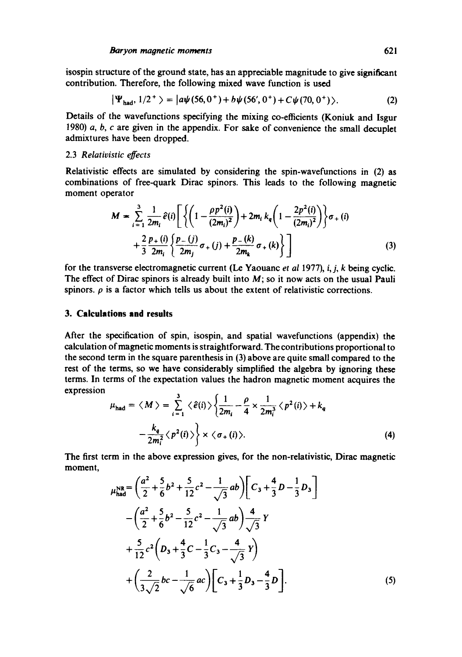isospin structure of the ground state, has an appreciable magnitude to give significant contribution. Therefore, the following mixed wave function is used

$$
|\Psi_{\text{had}}, 1/2^+ \rangle = |a\psi(56, 0^+) + b\psi(56', 0^+) + C\psi(70, 0^+) \rangle. \tag{2}
$$

Details of the wavefunctions specifying the mixing co-efficients (Koniuk and Isgur 1980) a, b, c are given in the appendix. For sake of convenience the small decuplet admixtures have been dropped.

## 2.3 *Relativistic effects*

Relativistic effects are simulated by considering the spin-wavefunctions in (2) as combinations of free-quark Dirac spinors. This leads to the following magnetic moment operator

$$
M = \sum_{i=1}^{3} \frac{1}{2m_i} \hat{e}(i) \left[ \left\{ \left( 1 - \frac{\rho p^2(i)}{(2m_i)^2} \right) + 2m_i k_q \left( 1 - \frac{2p^2(i)}{(2m_i)^2} \right) \right\} \sigma_+(i) + \frac{2}{3} \frac{p_+(i)}{2m_i} \left\{ \frac{p_-(j)}{2m_j} \sigma_+(j) + \frac{p_-(k)}{2m_k} \sigma_+(k) \right\} \right]
$$
(3)

for the transverse electromagnetic current (Le Yaouanc *et al 1977*), *i, j, k* being cyclic. The effect of Dirac spinors is already built into  $M$ ; so it now acts on the usual Pauli spinors,  $\rho$  is a factor which tells us about the extent of relativistic corrections.

#### **3. Calculations and results**

After the specification of spin, isospin, and spatial wavefunctions (appendix) the calculation of magnetic moments is straightforward. The contributions proportional to the second term in the square parenthesis in (3) above are quite small compared to the rest of the terms, so we have considerably simplified the algebra by ignoring these terms. In terms of the expectation values the hadron magnetic moment acquires the expression

$$
\mu_{\text{had}} = \langle M \rangle = \sum_{i=1}^{3} \langle \hat{e}(i) \rangle \left\{ \frac{1}{2m_i} - \frac{\rho}{4} \times \frac{1}{2m_i^3} \langle p^2(i) \rangle + k_q
$$

$$
- \frac{k_q}{2m_i^2} \langle p^2(i) \rangle \right\} \times \langle \sigma_+(i) \rangle. \tag{4}
$$

The first term in the above expression gives, for the non-relativistic, Dirac magnetic moment,

$$
\mu_{\text{had}}^{\text{NR}} = \left(\frac{a^2}{2} + \frac{5}{6}b^2 + \frac{5}{12}c^2 - \frac{1}{\sqrt{3}}ab\right)\left[C_3 + \frac{4}{3}D - \frac{1}{3}D_3\right] \n- \left(\frac{a^2}{2} + \frac{5}{6}b^2 - \frac{5}{12}c^2 - \frac{1}{\sqrt{3}}ab\right)\frac{4}{\sqrt{3}}Y \n+ \frac{5}{12}c^2\left(D_3 + \frac{4}{3}C - \frac{1}{3}C_3 - \frac{4}{\sqrt{3}}Y\right) \n+ \left(\frac{2}{3\sqrt{2}}bc - \frac{1}{\sqrt{6}}ac\right)\left[C_3 + \frac{1}{3}D_3 - \frac{4}{3}D\right].
$$
\n(5)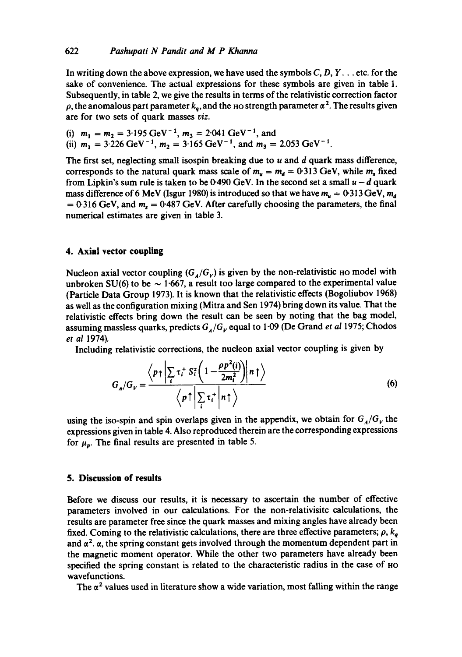In writing down the above expression, we have used the symbols  $C, D, Y, \ldots$  etc. for the sake of convenience. The actual expressions for these symbols are given in table 1. Subsequently, in table 2, we give the results in terms of the relativistic correction factor  $\rho$ , the anomalous part parameter  $k_q$ , and the Ho strength parameter  $\alpha^2$ . The results given are for two sets of quark masses *viz.* 

(i)  $m_1 = m_2 = 3.195 \text{ GeV}^{-1}$ ,  $m_3 = 2.041 \text{ GeV}^{-1}$ , and (ii)  $m_1 = 3.226 \text{ GeV}^{-1}$ ,  $m_2 = 3.165 \text{ GeV}^{-1}$ , and  $m_3 = 2.053 \text{ GeV}^{-1}$ .

The first set, neglecting small isospin breaking due to  $u$  and  $d$  quark mass difference, corresponds to the natural quark mass scale of  $m_u = m_d = 0.313$  GeV, while  $m_s$  fixed from Lipkin's sum rule is taken to be 0.490 GeV. In the second set a small  $u - d$  quark mass difference of 6 MeV (Isgur 1980) is introduced so that we have  $m_u = 0.313 \text{ GeV}, m_d$  $= 0.316$  GeV, and  $m_s = 0.487$  GeV. After carefully choosing the parameters, the final numerical estimates are given in table 3.

#### **4. Axial vector coupling**

Nucleon axial vector coupling  $(G_A/G_V)$  is given by the non-relativistic <sub>HO</sub> model with unbroken SU(6) to be  $\sim 1.667$ , a result too large compared to the experimental value (Particle Data Group 1973). It is known that the relativistic effects (Bogoliubov 1968) as well as the configuration mixing (Mitra and Sen 1974) bring down its value. That the relativistic effects bring down the result can be seen by noting that the bag model, assuming massless quarks, predicts  $G_A/G_V$  equal to 1.09 (De Grand *et al* 1975; Chodos *et al* 1974).

Including relativistic corrections, the nucleon axial vector coupling is given by

$$
G_{\star}/G_{\nu} = \frac{\left\langle p \uparrow \left| \sum_{i} \tau_{i}^{+} S_{i}^{z} \left( 1 - \frac{\rho p^{2}(i)}{2m_{i}^{2}} \right) \right| n \uparrow \right\rangle}{\left\langle p \uparrow \left| \sum_{i} \tau_{i}^{+} \right| n \uparrow \right\rangle}
$$
(6)

using the iso-spin and spin overlaps given in the appendix, we obtain for  $G_A/G_V$  the expressions given in table 4. Also reproduced therein are the corresponding expressions for  $\mu_p$ . The final results are presented in table 5.

## **5. Discussion of results**

Before we discuss our results, it is necessary to ascertain the number of effective parameters involved in our calculations. For the non-relativisitc calculations, the results are parameter free since the quark masses and mixing angles have already been fixed. Coming to the relativistic calculations, there are three effective parameters;  $\rho$ ,  $k_q$ and  $\alpha^2$ .  $\alpha$ , the spring constant gets involved through the momentum dependent part in the magnetic moment operator. While the other two parameters have already been specified the spring constant is related to the characteristic radius in the case of HO wavefunctions.

The  $\alpha^2$  values used in literature show a wide variation, most falling within the range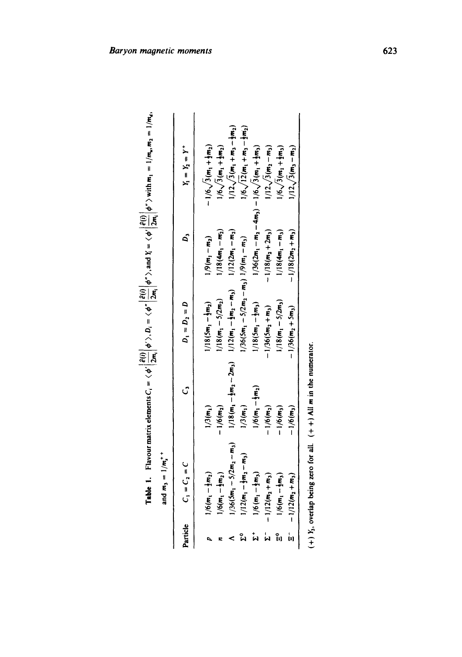|          | and $m_3 = 1/m_s^+$                |                                 |                                              |                     |                                                               |
|----------|------------------------------------|---------------------------------|----------------------------------------------|---------------------|---------------------------------------------------------------|
| Particle | $C_1 = C_2 = C$                    | S                               | $D_1 = D_2 = D$                              | $\mathbf{z}$        | $Y_1 = Y_2 = Y^+$                                             |
|          | $1/6(m_1-\frac{1}{2}m_2)$          | $1/3(m_1)$                      | $1/18(5m_1-\frac{1}{2}m_2)$                  | $1/9(m_1 - m_2)$    | $-1/6\sqrt{3(m_1 + \frac{1}{2}m_2)}$                          |
|          | $1/6(m_1 - \frac{1}{2}m_2)$        | $-1/6(m_2)$                     | $1/18(m_1 - 5/2m_2)$                         | $1/18(4m_1 - m_2)$  | $1/6\sqrt{3(m_1+\frac{1}{2}m_2)}$                             |
|          | $1/36(5m_1 - 5/2m_2 - m_3)$        | $1/18(m_1-\frac{1}{2}m_2-2m_3)$ | $1/12(m_1 - \frac{1}{2}m_2 - m_3)$           | $1/12(2m_1 - m_2)$  | $1/12\sqrt{3}(m_1 + m_3 - \frac{1}{2}m_2)$                    |
| ង        | $1/12(m_1 - \frac{1}{2}m_2 - m_3)$ | $1/3(m_1)$                      | $1/36(5m_1 - 5/2m_2 - m_3)$ $1/9(m_1 - m_3)$ |                     | $1/6\sqrt{12(m_1+m_3-\frac{1}{2}m_2)}$                        |
| ้ม       | $1/6(m_1-\frac{1}{2}m_3)$          | $1/6(m_1 - \frac{1}{2}m_2)$     | $1/18(5m_1-\frac{1}{2}m_3)$                  |                     | $1/36(2m_1 - m_2 - 4m_3) - 1/6\sqrt{3(m_1 + \frac{1}{2}m_3)}$ |
|          | $-1/12(m_2 + m_3)$                 | $-1/6(m_2)$                     | $-1/36(5m_2 + m_3)$                          | $-1/18(m_2+2m_3)$   | $1/12\sqrt{3} (m_2 - m_3)$                                    |
| 。<br>[1] | $1/6(m_1 - \frac{1}{2}m_3)$        | $-1/6(m_3)$                     | $1/18(m_1 - 5/2m_3)$                         | $1/18(4m_1 - m_3)$  | $1/6\sqrt{3(m_1 + \frac{1}{2}m_3)}$                           |
|          | $-1/12(m_2 + m_3)$                 | $-1/6(m_3)$                     | $-1/36(m2+5m3)$                              | $-1/18(2m_2 + m_3)$ | $1/12\sqrt{3(m_3-m_2)}$                                       |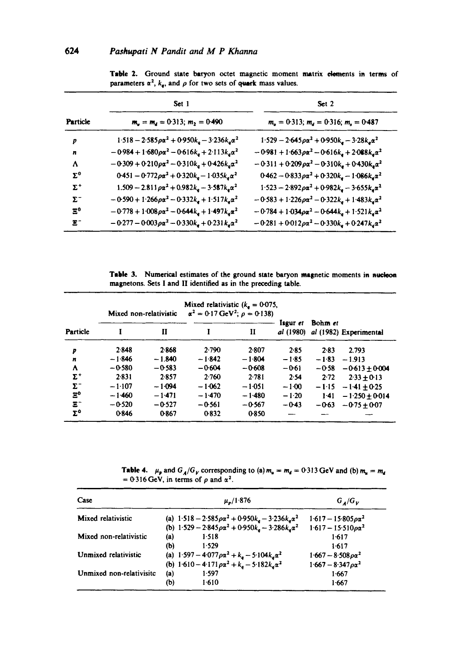|                     | Set 1                                                                       | Set 2                                                                       |  |  |
|---------------------|-----------------------------------------------------------------------------|-----------------------------------------------------------------------------|--|--|
| Particle            | $m_u = m_d = 0.313; m_2 = 0.490$                                            | $m_u = 0.313$ ; $m_d = 0.316$ ; $m_s = 0.487$                               |  |  |
| p                   | $1.518 - 2.585 \rho \alpha^2 + 0.950 k_{\rm g} - 3.236 k_{\rm g} \alpha^2$  | $1.529 - 2.645 \rho \alpha^2 + 0.950 k_{\rm g} - 3.28 k_{\rm g} \alpha^2$   |  |  |
| n                   | $-0.984 + 1.680 \rho \alpha^2 - 0.616 k_a + 2.113 k_a \alpha^2$             | $-0.981 + 1.663 \rho \alpha^2 - 0.616 k_0 + 2.088 k_0 \alpha^2$             |  |  |
| ٨                   | $-0.309 + 0.210 \rho \alpha^2 - 0.310 k_a + 0.426 k_a \alpha^2$             | $-0.311 + 0.209 \rho \alpha^2 - 0.310 k_{\rm e} + 0.430 k_{\rm e} \alpha^2$ |  |  |
| $\mathbf{\Sigma^0}$ | $0.451 - 0.772 \rho \alpha^2 + 0.320 k_q - 1.035 k_q \alpha^2$              | $0.462 - 0.833 \rho \alpha^2 + 0.320 k_{\rm g} - 1.086 k_{\rm g} \alpha^2$  |  |  |
| Σ*                  | $1.509 - 2.811 \rho \alpha^2 + 0.982 k_a - 3.587 k_a \alpha^2$              | $1.523 - 2.892 \rho \alpha^2 + 0.982 k_a - 3.655 k_a \alpha^2$              |  |  |
| Σ"                  | $-0.590 + 1.266 \rho \alpha^2 - 0.332 k_e + 1.517 k_e \alpha^2$             | $-0.583 + 1.226 \rho \alpha^2 - 0.322 k_a + 1.483 k_a \alpha^2$             |  |  |
| $\mathbf{z_0}$      | $-0.778 + 1.008 \rho \alpha^2 - 0.644 k_a + 1.497 k_a \alpha^2$             | $-0.784 + 1.034 \rho \alpha^2 - 0.644 k_g + 1.521 k_g \alpha^2$             |  |  |
| Ξ.                  | $-0.277 - 0.003 \rho \alpha^2 - 0.330 k_{\rm g} + 0.231 k_{\rm g} \alpha^2$ | $-0.281 + 0.012 \rho \alpha^2 - 0.330 k_g + 0.247 k_g \alpha^2$             |  |  |

Table 2. Ground state baryon octet magnetic moment matrix elements in terms of parameters  $\alpha^2$ ,  $k_q$ , and  $\rho$  for two sets of quark mass values.

Table 3. Numerical estimates of the ground state baryon magnetic moments in nucleon magnetons. Sets I and II identified as in the preceding table.

|                              |          | Mixed non-relativistic | Mixed relativistic $(k_{\bullet} = 0.075,$<br>$\alpha^2 = 0.17 \,\text{GeV}^2$ ; $\rho = 0.138$ ) |          |                       |         |                        |
|------------------------------|----------|------------------------|---------------------------------------------------------------------------------------------------|----------|-----------------------|---------|------------------------|
| Particle                     |          | $\mathbf{H}$           |                                                                                                   | п        | Isgur et<br>al (1980) | Bohm et | al (1982) Experimental |
| P                            | 2.848    | 2.868                  | 2.790                                                                                             | 2.807    | 2.85                  | 2.83    | 2.793                  |
| n                            | $-1.846$ | $-1.840$               | $-1.842$                                                                                          | $-1.804$ | $-1.85$               | $-1.83$ | $-1.913$               |
| ٨                            | $-0.580$ | $-0.583$               | $-0.604$                                                                                          | $-0.608$ | -061                  | $-0.58$ | $-0.613 + 0.004$       |
| $\mathbf{\Sigma}^+$          | 2.831    | 2.857                  | 2.760                                                                                             | 2.781    | 2.54                  | 2.72    | $2.33 + 0.13$          |
| Σ"                           | $-1.107$ | $-1.094$               | $-1.062$                                                                                          | $-1.051$ | $-1.00$               | $-1.15$ | $-1.41 \pm 0.25$       |
| $\Xi^0$                      | $-1.460$ | $-1.471$               | $-1.470$                                                                                          | $-1.480$ | $-1.20$               | $1-41$  | $-1.250 + 0.014$       |
| $E^-$                        | $-0.520$ | $-0.527$               | $-0.561$                                                                                          | $-0.567$ | $-0.43$               | $-0.63$ | $-0.75 + 0.07$         |
| $\mathbf{\Sigma}^\mathbf{0}$ | 0.846    | 0.867                  | 0.832                                                                                             | 0.850    |                       |         |                        |

**Table 4.**  $\mu_p$  and  $G_A/G_V$  corresponding to (a)  $m_u = m_d = 0.313$  GeV and (b)  $m_u = m_d$  $= 0.316$  GeV, in terms of  $\rho$  and  $\alpha^2$ .

| Case                      | $\mu_{\rm p}/1.876$                                                | $G_{\mu}/G_{\nu}$              |
|---------------------------|--------------------------------------------------------------------|--------------------------------|
| <b>Mixed relativistic</b> | (a) $1.518 - 2.585 \rho \alpha^2 + 0.950 k_a - 3.236 k_a \alpha^2$ | $1.617 - 15.805 \rho \alpha^2$ |
|                           | (b) $1.529 - 2.845 \rho \alpha^2 + 0.950 k_a - 3.286 k_a \alpha^2$ | $1.617 - 15.510 \rho \alpha^2$ |
| Mixed non-relativistic    | (a)<br>1.518                                                       | 1.617                          |
|                           | (b)<br>1.529                                                       | $1-617$                        |
| Unmixed relativistic      | (a) $1.597 - 4.077 \rho \alpha^2 + k_a - 5.104 k_a \alpha^2$       | $1.667 - 8.508 \rho \alpha^2$  |
|                           | (b) $1.610 - 4.171 \rho \alpha^2 + k_a - 5.182 k_a \alpha^2$       | $1.667 - 8.347 \rho \alpha^2$  |
| Unmixed non-relativisite  | (a)<br>1.597                                                       | 1.667                          |
|                           | (b)<br>1.610                                                       | 1.667                          |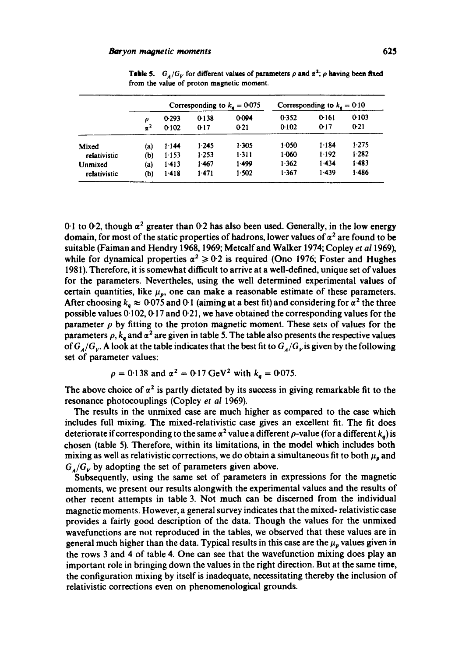|              |                     | Corresponding to $k_e = 0.075$ |               | Corresponding to $k_a = 0.10$ |                |               |                 |
|--------------|---------------------|--------------------------------|---------------|-------------------------------|----------------|---------------|-----------------|
|              | ρ<br>$\mathbf{r}^2$ | 0.293<br>0.102                 | 0.138<br>0:17 | 0.094<br>$0-21$               | 0.352<br>0.102 | 0-161<br>0:17 | 0.103<br>$0-21$ |
| Mixed        | (a)                 | 1.144                          | $1-245$       | 1.305                         | 1.050          | 1.184         | 1.275           |
| relativistic | (b)                 | $1 - 153$                      | 1.253         | 1:311                         | 1.060          | 1.192         | 1.282           |
| Unmixed      | (a)                 | $1-413$                        | 1.467         | 1.499                         | 1.362          | 1.434         | 1483            |
| relativistic | (b)                 | 1.418                          | $1-471$       | 1.502                         | 1.367          | 1.439         | 1.486           |

**Table 5.**  $G_A/G_V$  for different values of parameters  $\rho$  and  $\alpha^2$ ;  $\rho$  having been fixed from the value of proton magnetic moment.

0.1 to 0.2, though  $\alpha^2$  greater than 0.2 has also been used. Generally, in the low energy domain, for most of the static properties of hadrons, lower values of  $\alpha^2$  are found to be suitable (Faiman and Hendry 1968, 1969; Metcalfand Walker 1974; Copley *et a11969),*  while for dynamical properties  $\alpha^2 \geq 0.2$  is required (Ono 1976; Foster and Hughes 1981). Therefore, it is somewhat difficult to arrive at a well-defined, unique set of values for the parameters. Nevertbeles, using the well determined experimental values of certain quantities, like  $\mu_p$ , one can make a reasonable estimate of these parameters. After choosing  $k_a \approx 0.075$  and 0.1 (aiming at a best fit) and considering for  $\alpha^2$  the three possible values  $0.102$ ,  $0.17$  and  $0.21$ , we have obtained the corresponding values for the parameter  $\rho$  by fitting to the proton magnetic moment. These sets of values for the parameters  $\rho$ ,  $k_a$  and  $\alpha^2$  are given in table 5. The table also presents the respective values of  $G_A/G_V$ . A look at the table indicates that the best fit to  $G_A/G_V$  is given by the following set of parameter values:

$$
\rho = 0.138
$$
 and  $\alpha^2 = 0.17$  GeV<sup>2</sup> with  $k_a = 0.075$ .

The above choice of  $\alpha^2$  is partly dictated by its success in giving remarkable fit to the resonance photocouplings (Copley *et al* 1969).

The results in the unmixed case are much higher as compared to the case which includes full mixing. The mixed-relativistic case gives an excellent fit. The fit does deteriorate if corresponding to the same  $\alpha^2$  value a different  $\rho$ -value (for a different  $k_q$ ) is chosen (table 5). Therefore, within its limitations, in the model which includes both mixing as well as relativistic corrections, we do obtain a simultaneous fit to both  $\mu_p$  and  $G_A/G_v$  by adopting the set of parameters given above.

Subsequently, using the same set of parameters in expressions for the magnetic moments, we present our results alongwith the experimental values and the results of other recent attempts in table 3. Not much can be discerned from the individual magnetic moments. However, a general survey indicates that the mixed- relativistic case provides a fairly good description of the data. Though the values for the unmixed wavefunctions are not reproduced in the tables, we observed that these values are in general much higher than the data. Typical results in this case are the  $\mu_{p}$  values given in the rows 3 and 4 of table 4. One can see that the wavefunction mixing does play an important role in bringing down the values in the right direction. But at the same time, the configuration mixing by itself is inadequate, necessitating thereby the inclusion of relativistic corrections even on phenomenological grounds.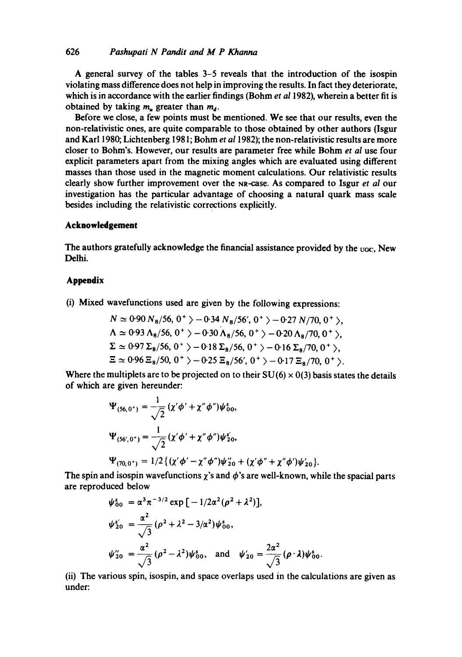A general survey of the tables 3-5 reveals that the introduction of the isospin violating mass difference does not help in improving the results. In fact they deteriorate, which is in accordance with the earlier findings (Bohm *et a11982),* wherein a better fit is obtained by taking  $m_{\mu}$  greater than  $m_{\lambda}$ .

Before we close, a few points must be mentioned. We see that our results, even the non-relativistic ones, are quite comparable to those obtained by other authors (Isgur and Karl 1980; Lichtenberg 1981; Bohm *et al* 1982); the non-relativistic results are more closer to Bohm's. However, our results are parameter free while Bohm *et al* use four explicit parameters apart from the mixing angles which are evaluated using different masses than those used in the magnetic moment calculations. Our relativistic results clearly show further improvement over the NR-Case. As compared to Isgur *et al* our investigation has the particular advantage of choosing a natural quark mass scale besides including the relativistic corrections explicitly.

## **Acknowledgement**

The authors gratefully acknowledge the financial assistance provided by the  $_{\text{UGC}}$ , New Delhi.

## **Appendix**

(i) Mixed wavefunctions used are given by the following expressions:

$$
N \approx 0.90 N_8/56, 0^+ > -0.34 N_8/56', 0^+ > -0.27 N/70, 0^+ \,,
$$
  
\n
$$
\Lambda \approx 0.93 \Lambda_8/56, 0^+ > -0.30 \Lambda_8/56, 0^+ > -0.20 \Lambda_8/70, 0^+ \,,
$$
  
\n
$$
\Sigma \approx 0.97 \Sigma_8/56, 0^+ > -0.18 \Sigma_8/56, 0^+ > -0.16 \Sigma_8/70, 0^+ \,,
$$
  
\n
$$
\Xi \approx 0.96 \Xi_8/50, 0^+ > -0.25 \Xi_8/56', 0^+ > -0.17 \Xi_8/70, 0^+ \,.
$$

Where the multiplets are to be projected on to their  $SU(6) \times O(3)$  basis states the details of which are given hereunder:

$$
\Psi_{(56,0^+)} = \frac{1}{\sqrt{2}} (\chi' \phi' + \chi'' \phi'') \psi_{00}^*,
$$
  
\n
$$
\Psi_{(56',0^+)} = \frac{1}{\sqrt{2}} (\chi' \phi' + \chi'' \phi'') \psi_{20}^*,
$$
  
\n
$$
\Psi_{(70,0^+)} = 1/2 \{ (\chi' \phi' - \chi'' \phi'') \psi_{20}^{\prime\prime} + (\chi' \phi'' + \chi'' \phi') \psi_{20}^{\prime} \}.
$$

The spin and isospin wavefunctions  $\chi$ 's and  $\phi$ 's are well-known, while the spacial parts are reproduced below

$$
\psi_{00}^{s} = \alpha^{3} \pi^{-3/2} \exp \left[ -1/2 \alpha^{2} (\rho^{2} + \lambda^{2}) \right],
$$
  
\n
$$
\psi_{20}^{s'} = \frac{\alpha^{2}}{\sqrt{3}} (\rho^{2} + \lambda^{2} - 3/\alpha^{2}) \psi_{00}^{s},
$$
  
\n
$$
\psi_{20}'' = \frac{\alpha^{2}}{\sqrt{3}} (\rho^{2} - \lambda^{2}) \psi_{00}^{s}, \text{ and } \psi_{20}' = \frac{2 \alpha^{2}}{\sqrt{3}} (\rho \cdot \lambda) \psi_{00}^{s}.
$$

(ii) The various spin, isospin, and space overlaps used in the calculations are given as under: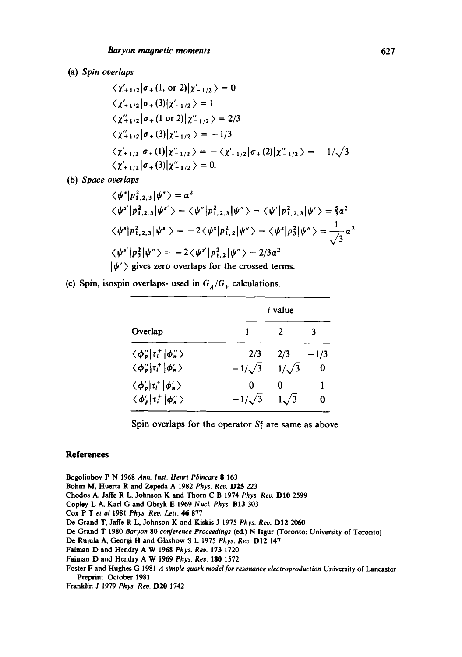(a) *Spin overlaps* 

$$
\langle \chi'_{+1/2} | \sigma_{+} (1, \text{ or } 2) | \chi'_{-1/2} \rangle = 0
$$
  
\n
$$
\langle \chi'_{+1/2} | \sigma_{+} (3) | \chi'_{-1/2} \rangle = 1
$$
  
\n
$$
\langle \chi''_{+1/2} | \sigma_{+} (1 \text{ or } 2) | \chi''_{-1/2} \rangle = 2/3
$$
  
\n
$$
\langle \chi''_{+1/2} | \sigma_{+} (3) | \chi''_{-1/2} \rangle = -1/3
$$
  
\n
$$
\langle \chi'_{+1/2} | \sigma_{+} (1) | \chi''_{-1/2} \rangle = -\langle \chi'_{+1/2} | \sigma_{+} (2) | \chi''_{-1/2} \rangle = -1/\sqrt{3}
$$
  
\n
$$
\langle \chi'_{+1/2} | \sigma_{+} (3) | \chi''_{-1/2} \rangle = 0.
$$

(b) *Space overlaps* 

$$
\langle \psi^s | p_{1,2,3}^2 | \psi^s \rangle = \alpha^2
$$
  

$$
\langle \psi^s | p_{1,2,3}^2 | \psi^s \rangle = \langle \psi'' | p_{1,2,3}^2 | \psi'' \rangle = \langle \psi' | p_{1,2,3}^2 | \psi' \rangle = \frac{2}{3} \alpha^2
$$
  

$$
\langle \psi^s | p_{1,2,3}^2 | \psi^s \rangle = -2 \langle \psi^s | p_{1,2}^2 | \psi'' \rangle = \langle \psi^s | p_3^2 | \psi'' \rangle = \frac{1}{\sqrt{3}} \alpha^2
$$
  

$$
\langle \psi^s | p_3^2 | \psi'' \rangle = -2 \langle \psi^s | p_{1,2}^2 | \psi'' \rangle = 2/3 \alpha^2
$$
  

$$
|\psi' \rangle
$$
 gives zero overlaps for the crossed terms.

(c) Spin, isospin overlaps- used in  $G_A/G_V$  calculations.

|                                                        | <i>i</i> value |              |        |  |  |
|--------------------------------------------------------|----------------|--------------|--------|--|--|
| Overlap                                                |                |              |        |  |  |
| $\langle \phi_p''   \tau_i^+   \phi_n'' \rangle$       | 2/3            | 2/3          | $-1/3$ |  |  |
| $\langle \phi_p''   \tau_l^+   \phi_{\kappa}' \rangle$ | $-1/\sqrt{3}$  | $1/\sqrt{3}$ | 0      |  |  |
| $\langle \phi'_p   \tau_l^+   \phi'_n \rangle$         | 0              | 0            | 1      |  |  |
| $\langle \phi'_p   \tau_i^+   \phi''_n \rangle$        | $-1/\sqrt{3}$  | $1\sqrt{3}$  |        |  |  |

Spin overlaps for the operator  $S_i^z$  are same as above.

## **References**

Bogoliubov P N 1968 *Ann. Inst. Henri P6incare* \$163 B6hm M, Huerta R and Zepeda A 1982 *Phys. Rev.* D25 223 Chodos A, Jaffe R L, Johnson K and Thorn C B 1974 *Phys. Rev.* D10 2599 Copley L A, Karl G and Obryk E 1969 *Nucl. Phys.* BI3 303 Cox P T *et al* 1981 *Phys. Rev. Lett. 46* 877 De Grand T, Jaffe R L, Johnson K and Kiskis J 1975 *Phys. Rev.* DI2 2060 De Grand T 1980 *Baryon* 80 *conference Proceedings* (ed.) N Isgur (Toronto: University of Toronto) De Rujula A, (3eorgi H and (31ashow S L 1975 *Phys. Rev.* DI2 147 Faiman D and Hendry A W 1968 *Phys. Rev.* 173 1720 Faiman D and Hendry A W 1969 *Phys. Rev.* 180 1572 Foster F and Hughes (3 1981 *A simple quark model for resonance electroproduction* University of Lancaster Preprint. October 1981

Franklin J 1979 *Phys. Rev.* D20 1742